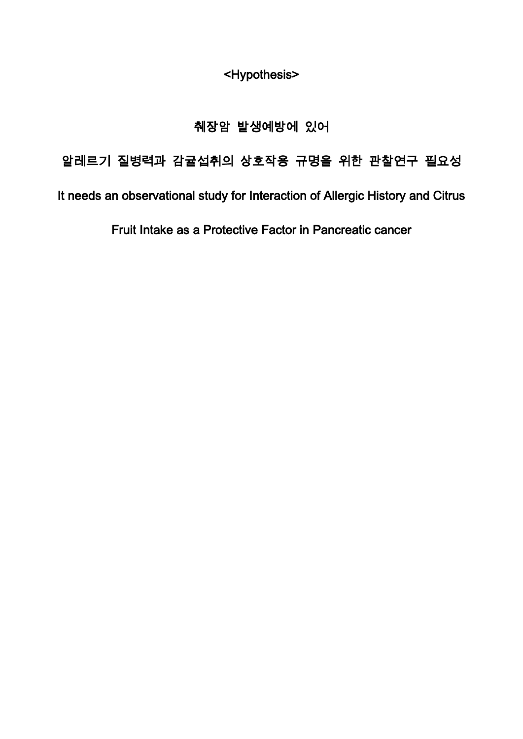<Hypothesis>

## 췌장암 발생예방에 있어

# 알레르기 질병력과 감귤섭취의 상호작용 규명을 위한 관찰연구 필요성

It needs an observational study for Interaction of Allergic History and Citrus

Fruit Intake as a Protective Factor in Pancreatic cancer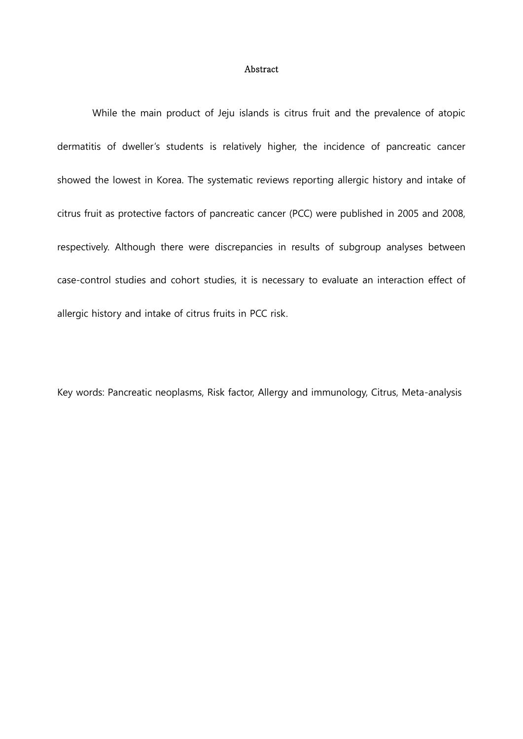#### Abstract

While the main product of Jeju islands is citrus fruit and the prevalence of atopic dermatitis of dweller's students is relatively higher, the incidence of pancreatic cancer showed the lowest in Korea. The systematic reviews reporting allergic history and intake of citrus fruit as protective factors of pancreatic cancer (PCC) were published in 2005 and 2008, respectively. Although there were discrepancies in results of subgroup analyses between case-control studies and cohort studies, it is necessary to evaluate an interaction effect of allergic history and intake of citrus fruits in PCC risk.

Key words: Pancreatic neoplasms, Risk factor, Allergy and immunology, Citrus, Meta-analysis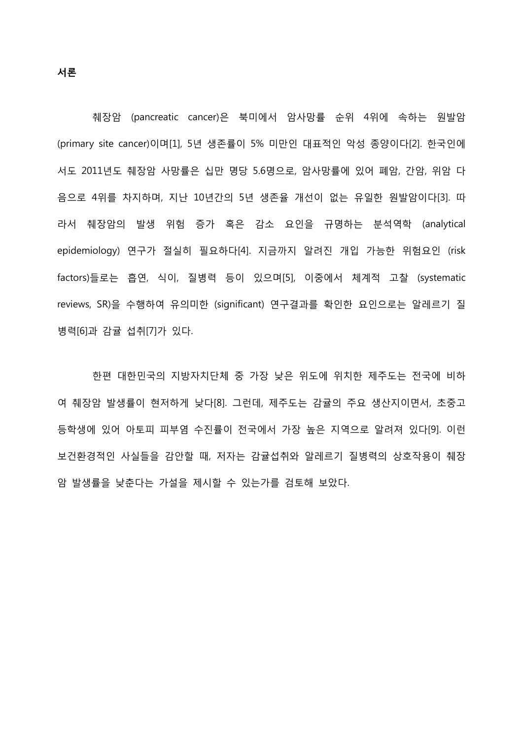췌장암 (pancreatic cancer)은 북미에서 암사망률 순위 4위에 속하는 원발암 (primary site cancer)이며[1], 5년 생존률이 5% 미만인 대표적인 악성 종양이다[2]. 한국인에 서도 2011년도 췌장암 사망률은 십만 명당 5.6명으로, 암사망률에 있어 폐암, 간암, 위암 다 음으로 4위를 차지하며, 지난 10년간의 5년 생존율 개선이 없는 유일한 원발암이다[3]. 따 라서 췌장암의 발생 위험 증가 혹은 감소 요인을 규명하는 분석역학 (analytical epidemiology) 연구가 절실히 필요하다[4]. 지금까지 알려진 개입 가능한 위험요인 (risk factors)들로는 흡연, 식이, 질병력 등이 있으며[5], 이중에서 체계적 고찰 (systematic reviews, SR)을 수행하여 유의미한 (significant) 연구결과를 확인한 요인으로는 알레르기 질 병력[6]과 감귤 섭취[7]가 있다.

한편 대한민국의 지방자치단체 중 가장 낮은 위도에 위치한 제주도는 전국에 비하 여 췌장암 발생률이 현저하게 낮다[8]. 그런데, 제주도는 감귤의 주요 생산지이면서, 초중고 등학생에 있어 아토피 피부염 수진률이 전국에서 가장 높은 지역으로 알려져 있다[9]. 이런 보건환경적인 사실들을 감안할 때, 저자는 감귤섭취와 알레르기 질병력의 상호작용이 췌장 암 발생률을 낮춘다는 가설을 제시할 수 있는가를 검토해 보았다.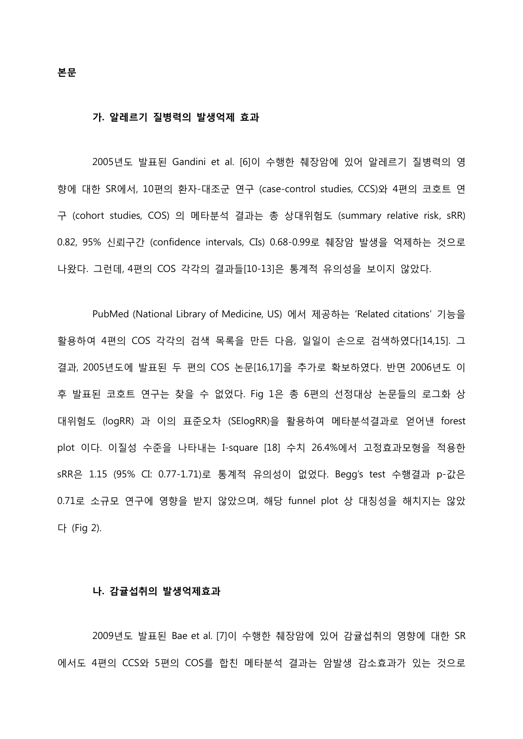본문

#### 가. 알레르기 질병력의 발생억제 효과

2005년도 발표된 Gandini et al. [6]이 수행한 췌장암에 있어 알레르기 질병력의 영 향에 대한 SR에서, 10편의 환자-대조군 연구 (case-control studies, CCS)와 4편의 코호트 연 구 (cohort studies, COS) 의 메타분석 결과는 총 상대위험도 (summary relative risk, sRR) 0.82, 95% 신뢰구간 (confidence intervals, CIs) 0.68-0.99로 췌장암 발생을 억제하는 것으로 나왔다. 그런데, 4편의 COS 각각의 결과들[10-13]은 통계적 유의성을 보이지 않았다.

PubMed (National Library of Medicine, US) 에서 제공하는 'Related citations' 기능을 활용하여 4편의 COS 각각의 검색 목록을 만든 다음, 일일이 손으로 검색하였다[14,15]. 그 결과, 2005년도에 발표된 두 편의 COS 논문[16,17]을 추가로 확보하였다. 반면 2006년도 이 후 발표된 코호트 연구는 찾을 수 없었다. Fig 1은 총 6편의 선정대상 논문들의 로그화 상 대위험도 (logRR) 과 이의 표준오차 (SElogRR)을 활용하여 메타분석결과로 얻어낸 forest plot 이다. 이질성 수준을 나타내는 I-square [18] 수치 26.4%에서 고정효과모형을 적용한 sRR은 1.15 (95% CI: 0.77-1.71)로 통계적 유의성이 없었다. Begg's test 수행결과 p-값은 0.71로 소규모 연구에 영향을 받지 않았으며, 해당 funnel plot 상 대칭성을 해치지는 않았 다 (Fig 2).

#### 나. 감귤섭취의 발생억제효과

2009년도 발표된 Bae et al. [7]이 수행한 췌장암에 있어 감귤섭취의 영향에 대한 SR 에서도 4편의 CCS와 5편의 COS를 합친 메타분석 결과는 암발생 감소효과가 있는 것으로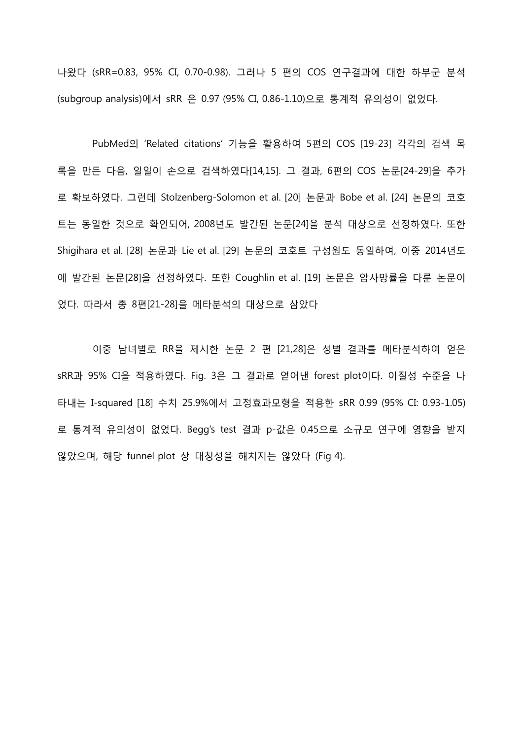나왔다 (sRR=0.83, 95% CI, 0.70-0.98). 그러나 5 편의 COS 연구결과에 대한 하부군 분석 (subgroup analysis)에서 sRR 은 0.97 (95% CI, 0.86-1.10)으로 통계적 유의성이 없었다.

PubMed의 'Related citations' 기능을 활용하여 5편의 COS [19-23] 각각의 검색 목 록을 만든 다음, 일일이 손으로 검색하였다[14,15]. 그 결과, 6편의 COS 논문[24-29]을 추가 로 확보하였다. 그런데 Stolzenberg-Solomon et al. [20] 논문과 Bobe et al. [24] 논문의 코호 트는 동일한 것으로 확인되어, 2008년도 발간된 논문[24]을 분석 대상으로 선정하였다. 또한 Shigihara et al. [28] 논문과 Lie et al. [29] 논문의 코호트 구성원도 동일하여, 이중 2014년도 에 발간된 논문[28]을 선정하였다. 또한 Coughlin et al. [19] 논문은 암사망률을 다룬 논문이 었다. 따라서 총 8편[21-28]을 메타분석의 대상으로 삼았다

이중 남녀별로 RR을 제시한 논문 2 편 [21,28]은 성별 결과를 메타분석하여 얻은 sRR과 95% CI을 적용하였다. Fig. 3은 그 결과로 얻어낸 forest plot이다. 이질성 수준을 나 타내는 I-squared [18] 수치 25.9%에서 고정효과모형을 적용한 sRR 0.99 (95% CI: 0.93-1.05) 로 통계적 유의성이 없었다. Begg's test 결과 p-값은 0.45으로 소규모 연구에 영향을 받지 않았으며, 해당 funnel plot 상 대칭성을 해치지는 않았다 (Fig 4).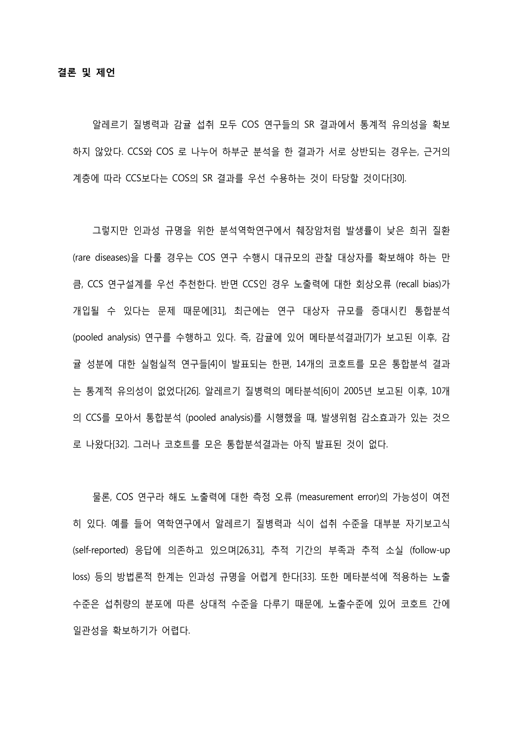알레르기 질병력과 감귤 섭취 모두 COS 연구들의 SR 결과에서 통계적 유의성을 확보 하지 않았다. CCS와 COS 로 나누어 하부군 분석을 한 결과가 서로 상반되는 경우는, 근거의 계층에 따라 CCS보다는 COS의 SR 결과를 우선 수용하는 것이 타당할 것이다[30].

그렇지만 인과성 규명을 위한 분석역학연구에서 췌장암처럼 발생률이 낮은 희귀 질환 (rare diseases)을 다룰 경우는 COS 연구 수행시 대규모의 관찰 대상자를 확보해야 하는 만 큼, CCS 연구설계를 우선 추천한다. 반면 CCS인 경우 노출력에 대한 회상오류 (recall bias)가 개입될 수 있다는 문제 때문에[31], 최근에는 연구 대상자 규모를 증대시킨 통합분석 (pooled analysis) 연구를 수행하고 있다. 즉, 감귤에 있어 메타분석결과[7]가 보고된 이후, 감 귤 성분에 대한 실험실적 연구들[4]이 발표되는 한편, 14개의 코호트를 모은 통합분석 결과 는 통계적 유의성이 없었다[26]. 알레르기 질병력의 메타분석[6]이 2005년 보고된 이후, 10개 의 CCS를 모아서 통합분석 (pooled analysis)를 시행했을 때, 발생위험 감소효과가 있는 것으 로 나왔다[32]. 그러나 코호트를 모은 통합분석결과는 아직 발표된 것이 없다.

물론, COS 연구라 해도 노출력에 대한 측정 오류 (measurement error)의 가능성이 여전 히 있다. 예를 들어 역학연구에서 알레르기 질병력과 식이 섭취 수준을 대부분 자기보고식 (self-reported) 응답에 의존하고 있으며[26,31], 추적 기간의 부족과 추적 소실 (follow-up loss) 등의 방법론적 한계는 인과성 규명을 어렵게 한다[33]. 또한 메타분석에 적용하는 노출 수준은 섭취량의 분포에 따른 상대적 수준을 다루기 때문에, 노출수준에 있어 코호트 간에 일관성을 확보하기가 어렵다.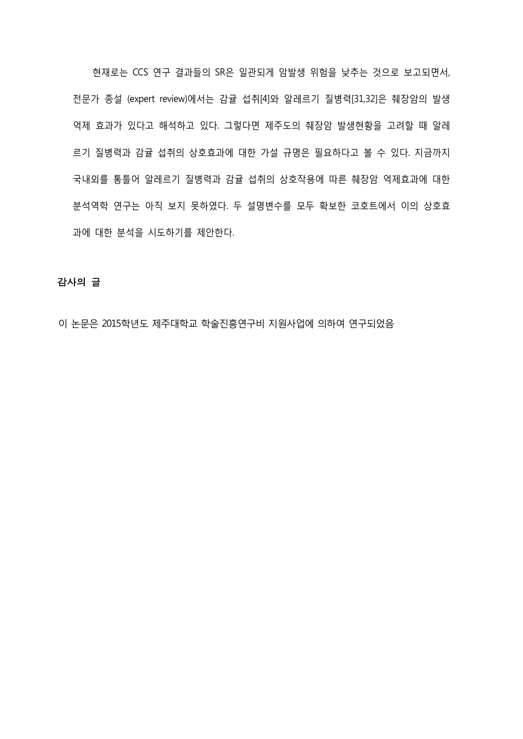현재로는 CCS 연구 결과들의 SR은 일관되게 암발생 위험을 낮추는 것으로 보고되면서, 전문가 종설 (expert review)에서는 감귤 섭취[4]와 알레르기 질병력[31,32]은 췌장암의 발생 억제 효과가 있다고 해석하고 있다. 그렇다면 제주도의 췌장암 발생현황을 고려할 때 알레 르기 질병력과 감귤 섭취의 상호효과에 대한 가설 규명은 필요하다고 볼 수 있다. 지금까지 국내외를 통틀어 알레르기 질병력과 감귤 섭취의 상호작용에 따른 췌장암 억제효과에 대한 분석역학 연구는 아직 보지 못하였다. 두 설명변수를 모두 확보한 코호트에서 이의 상호효 과에 대한 분석을 시도하기를 제안한다.

### 감사의 글

이 논문은 2015학년도 제주대학교 학술진흥연구비 지원사업에 의하여 연구되었음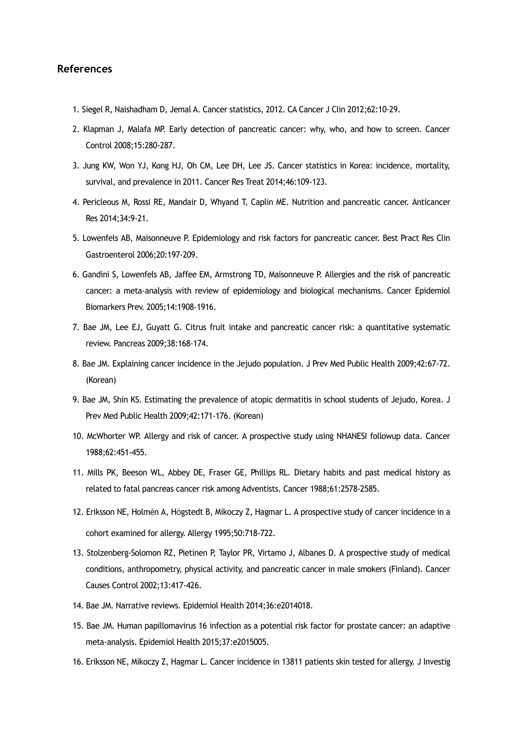#### **References**

- 1. Siegel R, Naishadham D, Jemal A. Cancer statistics, 2012. CA Cancer J Clin 2012;62:10-29.
- 2. Klapman J, Malafa MP. Early detection of pancreatic cancer: why, who, and how to screen. Cancer Control 2008;15:280-287.
- 3. Jung KW, Won YJ, Kong HJ, Oh CM, Lee DH, Lee JS. Cancer statistics in Korea: incidence, mortality, survival, and prevalence in 2011. Cancer Res Treat 2014;46:109-123.
- 4. Pericleous M, Rossi RE, Mandair D, Whyand T, Caplin ME. Nutrition and pancreatic cancer. Anticancer Res 2014;34:9-21.
- 5. Lowenfels AB, Maisonneuve P. Epidemiology and risk factors for pancreatic cancer. Best Pract Res Clin Gastroenterol 2006;20:197-209.
- 6. Gandini S, Lowenfels AB, Jaffee EM, Armstrong TD, Maisonneuve P. Allergies and the risk of pancreatic cancer: a meta-analysis with review of epidemiology and biological mechanisms. Cancer Epidemiol Biomarkers Prev. 2005;14:1908-1916.
- 7. Bae JM, Lee EJ, Guyatt G. Citrus fruit intake and pancreatic cancer risk: a quantitative systematic review. Pancreas 2009;38:168-174.
- 8. Bae JM. Explaining cancer incidence in the Jejudo population. J Prev Med Public Health 2009;42:67-72. (Korean)
- 9. Bae JM, Shin KS. Estimating the prevalence of atopic dermatitis in school students of Jejudo, Korea. J Prev Med Public Health 2009;42:171-176. (Korean)
- 10. McWhorter WP. Allergy and risk of cancer. A prospective study using NHANESI followup data. Cancer 1988;62:451-455.
- 11. Mills PK, Beeson WL, Abbey DE, Fraser GE, Phillips RL. Dietary habits and past medical history as related to fatal pancreas cancer risk among Adventists. Cancer 1988;61:2578-2585.
- 12. Eriksson NE, Holmén A, Högstedt B, Mikoczy Z, Hagmar L. A prospective study of cancer incidence in a cohort examined for allergy. Allergy 1995;50:718-722.
- 13. Stolzenberg-Solomon RZ, Pietinen P, Taylor PR, Virtamo J, Albanes D. A prospective study of medical conditions, anthropometry, physical activity, and pancreatic cancer in male smokers (Finland). Cancer Causes Control 2002;13:417-426.
- 14. Bae JM. Narrative reviews. Epidemiol Health 2014;36:e2014018.
- 15. Bae JM. Human papillomavirus 16 infection as a potential risk factor for prostate cancer: an adaptive meta-analysis. Epidemiol Health 2015;37:e2015005.
- 16. Eriksson NE, Mikoczy Z, Hagmar L. Cancer incidence in 13811 patients skin tested for allergy. J Investig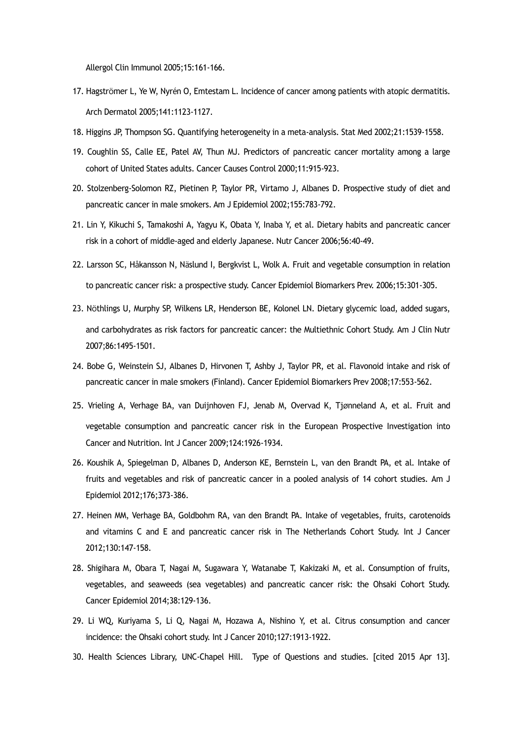Allergol Clin Immunol 2005;15:161-166.

- 17. Hagströmer L, Ye W, Nyrén O, Emtestam L. Incidence of cancer among patients with atopic dermatitis. Arch Dermatol 2005;141:1123-1127.
- 18. Higgins JP, Thompson SG. Quantifying heterogeneity in a meta-analysis. Stat Med 2002;21:1539-1558.
- 19. Coughlin SS, Calle EE, Patel AV, Thun MJ. Predictors of pancreatic cancer mortality among a large cohort of United States adults. Cancer Causes Control 2000;11:915-923.
- 20. Stolzenberg-Solomon RZ, Pietinen P, Taylor PR, Virtamo J, Albanes D. Prospective study of diet and pancreatic cancer in male smokers. Am J Epidemiol 2002;155:783-792.
- 21. Lin Y, Kikuchi S, Tamakoshi A, Yagyu K, Obata Y, Inaba Y, et al. Dietary habits and pancreatic cancer risk in a cohort of middle-aged and elderly Japanese. Nutr Cancer 2006;56:40-49.
- 22. Larsson SC, Håkansson N, Näslund I, Bergkvist L, Wolk A. Fruit and vegetable consumption in relation to pancreatic cancer risk: a prospective study. Cancer Epidemiol Biomarkers Prev. 2006;15:301-305.
- 23. Nöthlings U, Murphy SP, Wilkens LR, Henderson BE, Kolonel LN. Dietary glycemic load, added sugars, and carbohydrates as risk factors for pancreatic cancer: the Multiethnic Cohort Study. Am J Clin Nutr 2007;86:1495-1501.
- 24. Bobe G, Weinstein SJ, Albanes D, Hirvonen T, Ashby J, Taylor PR, et al. Flavonoid intake and risk of pancreatic cancer in male smokers (Finland). Cancer Epidemiol Biomarkers Prev 2008;17:553-562.
- 25. Vrieling A, Verhage BA, van Duijnhoven FJ, Jenab M, Overvad K, Tjønneland A, et al. Fruit and vegetable consumption and pancreatic cancer risk in the European Prospective Investigation into Cancer and Nutrition. Int J Cancer 2009;124:1926-1934.
- 26. Koushik A, Spiegelman D, Albanes D, Anderson KE, Bernstein L, van den Brandt PA, et al. Intake of fruits and vegetables and risk of pancreatic cancer in a pooled analysis of 14 cohort studies. Am J Epidemiol 2012;176;373-386.
- 27. Heinen MM, Verhage BA, Goldbohm RA, van den Brandt PA. Intake of vegetables, fruits, carotenoids and vitamins C and E and pancreatic cancer risk in The Netherlands Cohort Study. Int J Cancer 2012;130:147-158.
- 28. Shigihara M, Obara T, Nagai M, Sugawara Y, Watanabe T, Kakizaki M, et al. Consumption of fruits, vegetables, and seaweeds (sea vegetables) and pancreatic cancer risk: the Ohsaki Cohort Study. Cancer Epidemiol 2014;38:129-136.
- 29. Li WQ, Kuriyama S, Li Q, Nagai M, Hozawa A, Nishino Y, et al. Citrus consumption and cancer incidence: the Ohsaki cohort study. Int J Cancer 2010;127:1913-1922.
- 30. Health Sciences Library, UNC-Chapel Hill. Type of Questions and studies. [cited 2015 Apr 13].